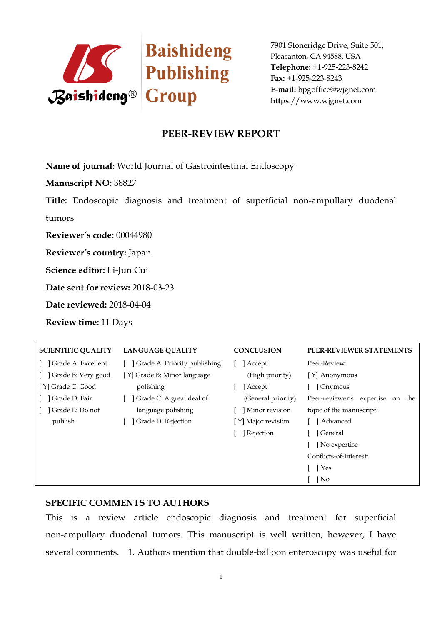

## **PEER-REVIEW REPORT**

**Name of journal:** World Journal of Gastrointestinal Endoscopy

**Manuscript NO:** 38827

**Title:** Endoscopic diagnosis and treatment of superficial non-ampullary duodenal tumors

**Reviewer's code:** 00044980

**Reviewer's country:** Japan

**Science editor:** Li-Jun Cui

**Date sent for review:** 2018-03-23

**Date reviewed:** 2018-04-04

**Review time:** 11 Days

| <b>SCIENTIFIC QUALITY</b> | <b>LANGUAGE OUALITY</b>      | <b>CONCLUSION</b>  | PEER-REVIEWER STATEMENTS               |
|---------------------------|------------------------------|--------------------|----------------------------------------|
| Grade A: Excellent        | Grade A: Priority publishing | Accept             | Peer-Review:                           |
| Grade B: Very good        | [Y] Grade B: Minor language  | (High priority)    | [Y] Anonymous                          |
| [Y] Grade C: Good         | polishing                    | Accept             | ] Onymous                              |
| Grade D: Fair             | Grade C: A great deal of     | (General priority) | Peer-reviewer's expertise<br>the<br>on |
| Grade E: Do not           | language polishing           | Minor revision     | topic of the manuscript:               |
| publish                   | Grade D: Rejection           | [Y] Major revision | l Advanced                             |
|                           |                              | Rejection          | l General                              |
|                           |                              |                    | ] No expertise                         |
|                           |                              |                    | Conflicts-of-Interest:                 |
|                           |                              |                    | 1 Yes                                  |
|                           |                              |                    | No                                     |

#### **SPECIFIC COMMENTS TO AUTHORS**

This is a review article endoscopic diagnosis and treatment for superficial non-ampullary duodenal tumors. This manuscript is well written, however, I have several comments. 1. Authors mention that double-balloon enteroscopy was useful for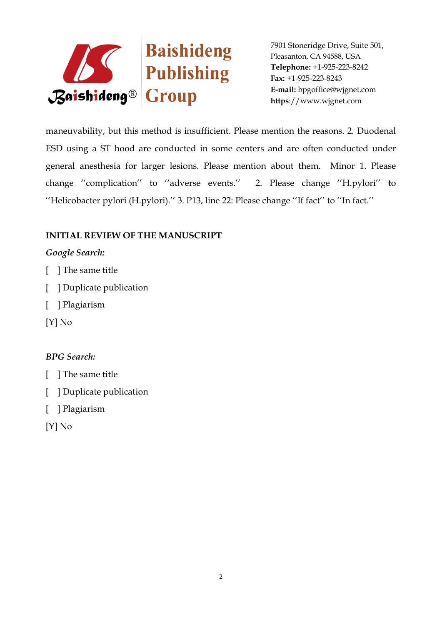

maneuvability, but this method is insufficient. Please mention the reasons. 2. Duodenal ESD using a ST hood are conducted in some centers and are often conducted under general anesthesia for larger lesions. Please mention about them. Minor 1. Please change "complication" to "adverse events." 2. Please change "H.pylori" to "Helicobacter pylori (H.pylori)." 3. P13, line 22: Please change "If fact" to "In fact."

## **INITIAL REVIEW OF THE MANUSCRIPT**

### *Google Search:*

- [ ] The same title
- [ ] Duplicate publication
- [ ] Plagiarism
- [Y] No

### *BPG Search:*

- [ ] The same title
- [ ] Duplicate publication
- [ ] Plagiarism
- [Y] No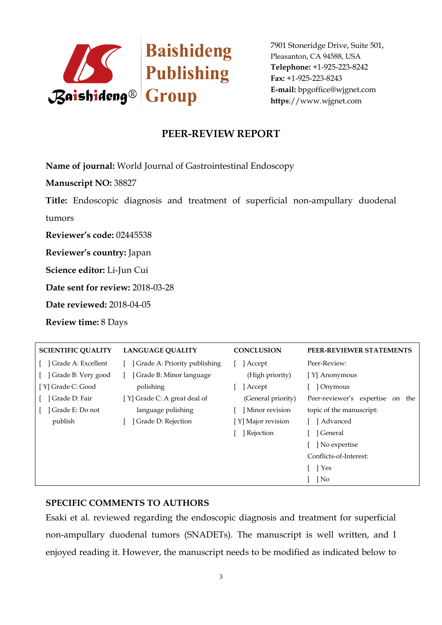

# **PEER-REVIEW REPORT**

**Name of journal:** World Journal of Gastrointestinal Endoscopy

**Manuscript NO:** 38827

**Title:** Endoscopic diagnosis and treatment of superficial non-ampullary duodenal tumors

**Reviewer's code:** 02445538

**Reviewer's country:** Japan

**Science editor:** Li-Jun Cui

**Date sent for review:** 2018-03-28

**Date reviewed:** 2018-04-05

**Review time:** 8 Days

| <b>SCIENTIFIC QUALITY</b> | <b>LANGUAGE QUALITY</b>      | <b>CONCLUSION</b>  | PEER-REVIEWER STATEMENTS            |
|---------------------------|------------------------------|--------------------|-------------------------------------|
| Grade A: Excellent        | Grade A: Priority publishing | ] Accept           | Peer-Review:                        |
| Grade B: Very good        | Grade B: Minor language      | (High priority)    | [Y] Anonymous                       |
| [Y] Grade C: Good         | polishing                    | Accept             | Onymous                             |
| Grade D: Fair             | [Y] Grade C: A great deal of | (General priority) | Peer-reviewer's expertise<br>on the |
| Grade E: Do not           | language polishing           | Minor revision     | topic of the manuscript:            |
| publish                   | Grade D: Rejection           | [Y] Major revision | Advanced                            |
|                           |                              | ] Rejection        | General                             |
|                           |                              |                    | No expertise                        |
|                           |                              |                    | Conflicts-of-Interest:              |
|                           |                              |                    | 1 Yes                               |
|                           |                              |                    | No                                  |

#### **SPECIFIC COMMENTS TO AUTHORS**

Esaki et al. reviewed regarding the endoscopic diagnosis and treatment for superficial non-ampullary duodenal tumors (SNADETs). The manuscript is well written, and I enjoyed reading it. However, the manuscript needs to be modified as indicated below to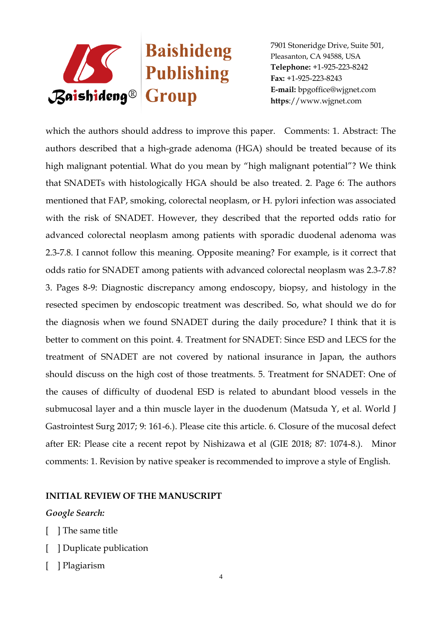

which the authors should address to improve this paper. Comments: 1. Abstract: The authors described that a high-grade adenoma (HGA) should be treated because of its high malignant potential. What do you mean by "high malignant potential"? We think that SNADETs with histologically HGA should be also treated. 2. Page 6: The authors mentioned that FAP, smoking, colorectal neoplasm, or H. pylori infection was associated with the risk of SNADET. However, they described that the reported odds ratio for advanced colorectal neoplasm among patients with sporadic duodenal adenoma was 2.3-7.8. I cannot follow this meaning. Opposite meaning? For example, is it correct that odds ratio for SNADET among patients with advanced colorectal neoplasm was 2.3-7.8? 3. Pages 8-9: Diagnostic discrepancy among endoscopy, biopsy, and histology in the resected specimen by endoscopic treatment was described. So, what should we do for the diagnosis when we found SNADET during the daily procedure? I think that it is better to comment on this point. 4. Treatment for SNADET: Since ESD and LECS for the treatment of SNADET are not covered by national insurance in Japan, the authors should discuss on the high cost of those treatments. 5. Treatment for SNADET: One of the causes of difficulty of duodenal ESD is related to abundant blood vessels in the submucosal layer and a thin muscle layer in the duodenum (Matsuda Y, et al. World J Gastrointest Surg 2017; 9: 161-6.). Please cite this article. 6. Closure of the mucosal defect after ER: Please cite a recent repot by Nishizawa et al (GIE 2018; 87: 1074-8.). Minor comments: 1. Revision by native speaker is recommended to improve a style of English.

#### **INITIAL REVIEW OF THE MANUSCRIPT**

#### *Google Search:*

- [ ] The same title
- [ ] Duplicate publication
- [ ] Plagiarism